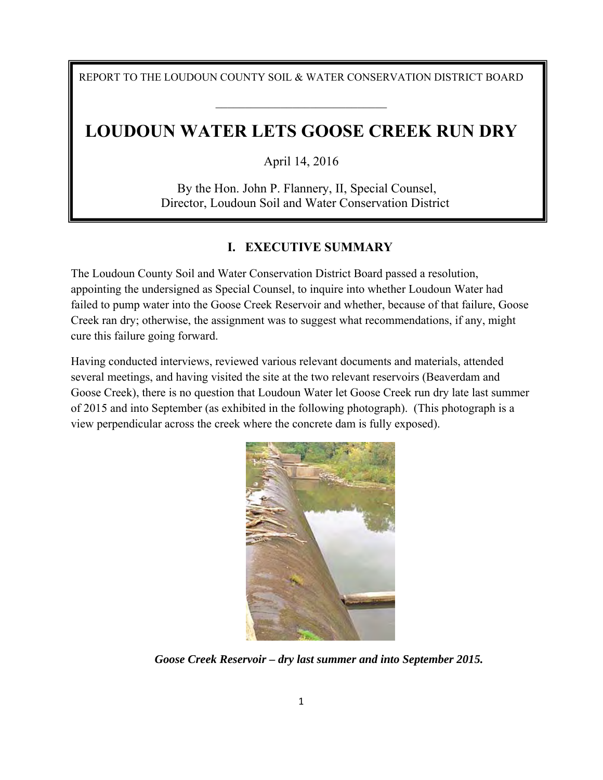REPORT TO THE LOUDOUN COUNTY SOIL & WATER CONSERVATION DISTRICT BOARD

 $\mathcal{L}_\text{max}$  , where  $\mathcal{L}_\text{max}$  and  $\mathcal{L}_\text{max}$  and  $\mathcal{L}_\text{max}$ 

# **LOUDOUN WATER LETS GOOSE CREEK RUN DRY**

April 14, 2016

By the Hon. John P. Flannery, II, Special Counsel, Director, Loudoun Soil and Water Conservation District

## **I. EXECUTIVE SUMMARY**

The Loudoun County Soil and Water Conservation District Board passed a resolution, appointing the undersigned as Special Counsel, to inquire into whether Loudoun Water had failed to pump water into the Goose Creek Reservoir and whether, because of that failure, Goose Creek ran dry; otherwise, the assignment was to suggest what recommendations, if any, might cure this failure going forward.

Having conducted interviews, reviewed various relevant documents and materials, attended several meetings, and having visited the site at the two relevant reservoirs (Beaverdam and Goose Creek), there is no question that Loudoun Water let Goose Creek run dry late last summer of 2015 and into September (as exhibited in the following photograph). (This photograph is a view perpendicular across the creek where the concrete dam is fully exposed).



*Goose Creek Reservoir – dry last summer and into September 2015.*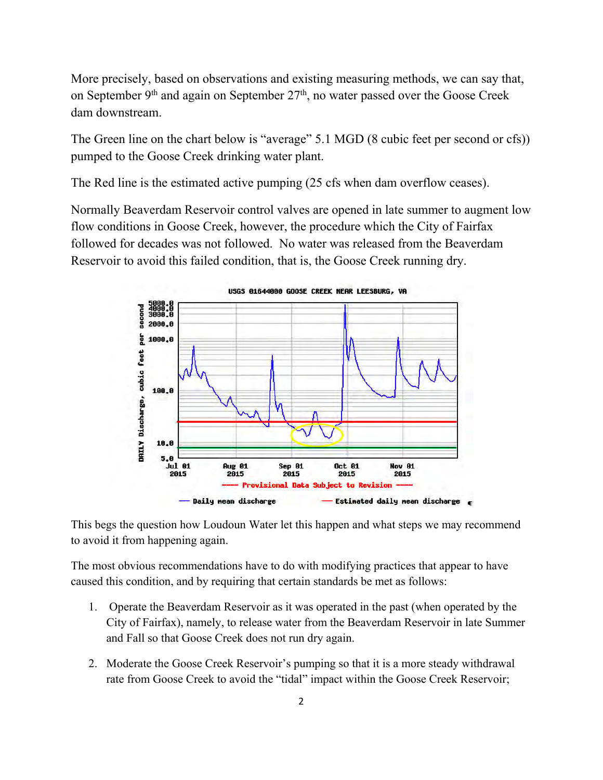More precisely, based on observations and existing measuring methods, we can say that, on September 9<sup>th</sup> and again on September 27<sup>th</sup>, no water passed over the Goose Creek dam downstream.

The Green line on the chart below is "average" 5.1 MGD (8 cubic feet per second or cfs)) pumped to the Goose Creek drinking water plant.

The Red line is the estimated active pumping (25 cfs when dam overflow ceases).

Normally Beaverdam Reservoir control valves are opened in late summer to augment low flow conditions in Goose Creek, however, the procedure which the City of Fairfax followed for decades was not followed. No water was released from the Beaverdam Reservoir to avoid this failed condition, that is, the Goose Creek running dry.



This begs the question how Loudoun Water let this happen and what steps we may recommend to avoid it from happening again.

The most obvious recommendations have to do with modifying practices that appear to have caused this condition, and by requiring that certain standards be met as follows:

- 1. Operate the Beaverdam Reservoir as it was operated in the past (when operated by the City of Fairfax), namely, to release water from the Beaverdam Reservoir in late Summer and Fall so that Goose Creek does not run dry again.
- 2. Moderate the Goose Creek Reservoir's pumping so that it is a more steady withdrawal rate from Goose Creek to avoid the "tidal" impact within the Goose Creek Reservoir;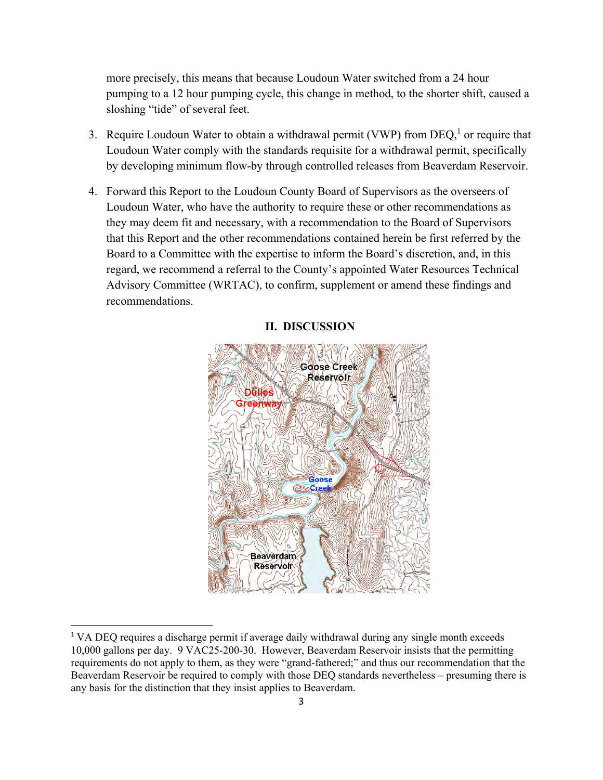more precisely, this means that because Loudoun Water switched from a 24 hour pumping to a 12 hour pumping cycle, this change in method, to the shorter shift, caused a sloshing "tide" of several feet.

- 3. Require Loudoun Water to obtain a withdrawal permit (VWP) from  $DEQ<sub>i</sub><sup>1</sup>$  or require that Loudoun Water comply with the standards requisite for a withdrawal permit, specifically by developing minimum flow-by through controlled releases from Beaverdam Reservoir.
- 4. Forward this Report to the Loudoun County Board of Supervisors as the overseers of Loudoun Water, who have the authority to require these or other recommendations as they may deem fit and necessary, with a recommendation to the Board of Supervisors that this Report and the other recommendations contained herein be first referred by the Board to a Committee with the expertise to inform the Board's discretion, and, in this regard, we recommend a referral to the County's appointed Water Resources Technical Advisory Committee (WRTAC), to confirm, supplement or amend these findings and recommendations.

# **Goose Creek** Reservoir **Dulles** Goose **Beaverdam Reservoir**

#### **II. DISCUSSION**

<sup>&</sup>lt;sup>1</sup> VA DEQ requires a discharge permit if average daily withdrawal during any single month exceeds 10,000 gallons per day. 9 VAC25-200-30. However, Beaverdam Reservoir insists that the permitting requirements do not apply to them, as they were "grand-fathered;" and thus our recommendation that the Beaverdam Reservoir be required to comply with those DEQ standards nevertheless – presuming there is any basis for the distinction that they insist applies to Beaverdam.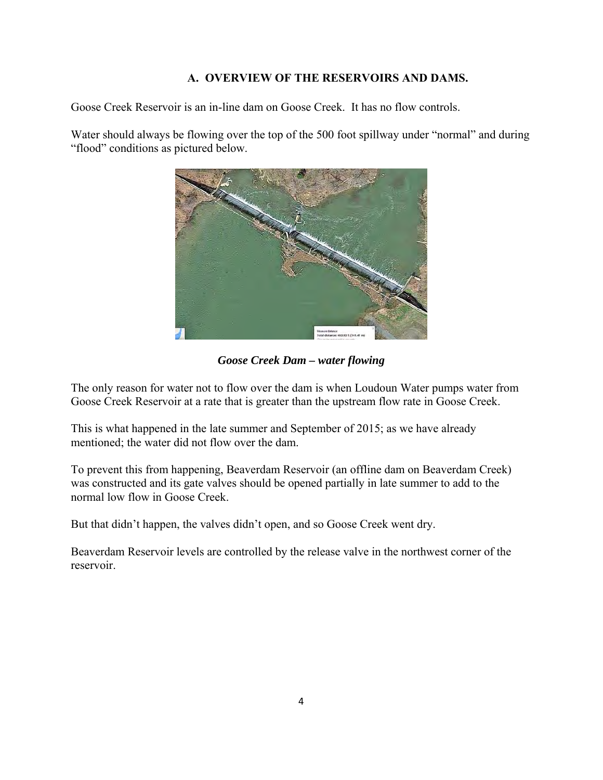#### **A. OVERVIEW OF THE RESERVOIRS AND DAMS.**

Goose Creek Reservoir is an in-line dam on Goose Creek. It has no flow controls.

Water should always be flowing over the top of the 500 foot spillway under "normal" and during "flood" conditions as pictured below.



*Goose Creek Dam – water flowing* 

The only reason for water not to flow over the dam is when Loudoun Water pumps water from Goose Creek Reservoir at a rate that is greater than the upstream flow rate in Goose Creek.

This is what happened in the late summer and September of 2015; as we have already mentioned; the water did not flow over the dam.

To prevent this from happening, Beaverdam Reservoir (an offline dam on Beaverdam Creek) was constructed and its gate valves should be opened partially in late summer to add to the normal low flow in Goose Creek.

But that didn't happen, the valves didn't open, and so Goose Creek went dry.

Beaverdam Reservoir levels are controlled by the release valve in the northwest corner of the reservoir.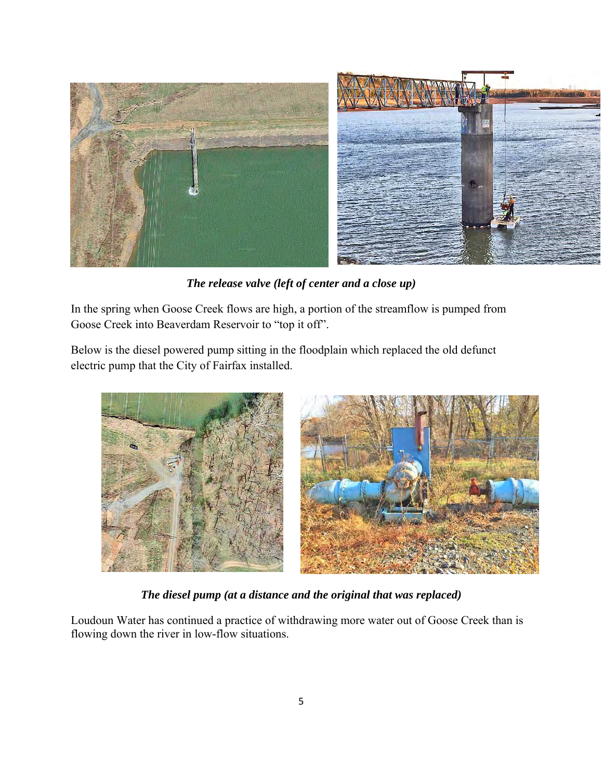

*The release valve (left of center and a close up)*

In the spring when Goose Creek flows are high, a portion of the streamflow is pumped from Goose Creek into Beaverdam Reservoir to "top it off".

Below is the diesel powered pump sitting in the floodplain which replaced the old defunct electric pump that the City of Fairfax installed.



*The diesel pump (at a distance and the original that was replaced)* 

Loudoun Water has continued a practice of withdrawing more water out of Goose Creek than is flowing down the river in low-flow situations.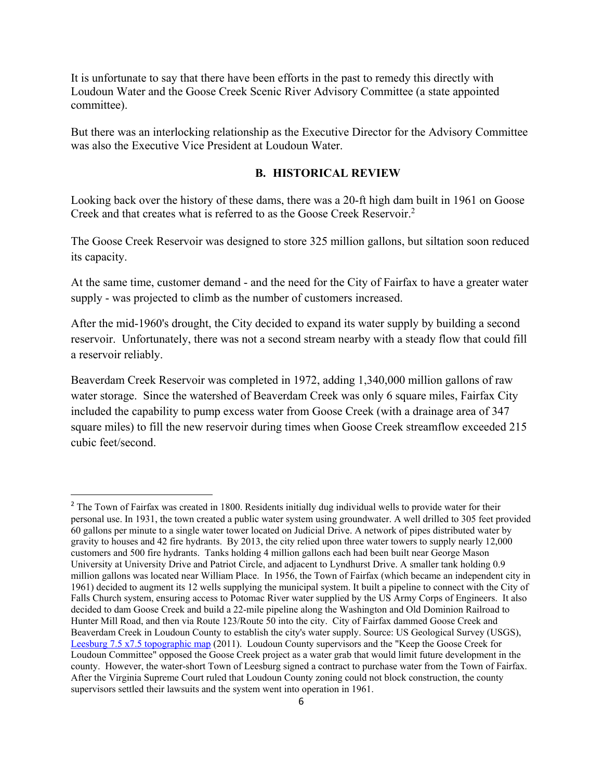It is unfortunate to say that there have been efforts in the past to remedy this directly with Loudoun Water and the Goose Creek Scenic River Advisory Committee (a state appointed committee).

But there was an interlocking relationship as the Executive Director for the Advisory Committee was also the Executive Vice President at Loudoun Water.

#### **B. HISTORICAL REVIEW**

Looking back over the history of these dams, there was a 20-ft high dam built in 1961 on Goose Creek and that creates what is referred to as the Goose Creek Reservoir.<sup>2</sup>

The Goose Creek Reservoir was designed to store 325 million gallons, but siltation soon reduced its capacity.

At the same time, customer demand - and the need for the City of Fairfax to have a greater water supply - was projected to climb as the number of customers increased.

After the mid-1960's drought, the City decided to expand its water supply by building a second reservoir. Unfortunately, there was not a second stream nearby with a steady flow that could fill a reservoir reliably.

Beaverdam Creek Reservoir was completed in 1972, adding 1,340,000 million gallons of raw water storage. Since the watershed of Beaverdam Creek was only 6 square miles, Fairfax City included the capability to pump excess water from Goose Creek (with a drainage area of 347 square miles) to fill the new reservoir during times when Goose Creek streamflow exceeded 215 cubic feet/second.

<sup>&</sup>lt;sup>2</sup> The Town of Fairfax was created in 1800. Residents initially dug individual wells to provide water for their personal use. In 1931, the town created a public water system using groundwater. A well drilled to 305 feet provided 60 gallons per minute to a single water tower located on Judicial Drive. A network of pipes distributed water by gravity to houses and 42 fire hydrants. By 2013, the city relied upon three water towers to supply nearly 12,000 customers and 500 fire hydrants. Tanks holding 4 million gallons each had been built near George Mason University at University Drive and Patriot Circle, and adjacent to Lyndhurst Drive. A smaller tank holding 0.9 million gallons was located near William Place. In 1956, the Town of Fairfax (which became an independent city in 1961) decided to augment its 12 wells supplying the municipal system. It built a pipeline to connect with the City of Falls Church system, ensuring access to Potomac River water supplied by the US Army Corps of Engineers. It also decided to dam Goose Creek and build a 22-mile pipeline along the Washington and Old Dominion Railroad to Hunter Mill Road, and then via Route 123/Route 50 into the city. City of Fairfax dammed Goose Creek and Beaverdam Creek in Loudoun County to establish the city's water supply. Source: US Geological Survey (USGS), Leesburg 7.5 x7.5 topographic map (2011). Loudoun County supervisors and the "Keep the Goose Creek for Loudoun Committee" opposed the Goose Creek project as a water grab that would limit future development in the county. However, the water-short Town of Leesburg signed a contract to purchase water from the Town of Fairfax. After the Virginia Supreme Court ruled that Loudoun County zoning could not block construction, the county supervisors settled their lawsuits and the system went into operation in 1961.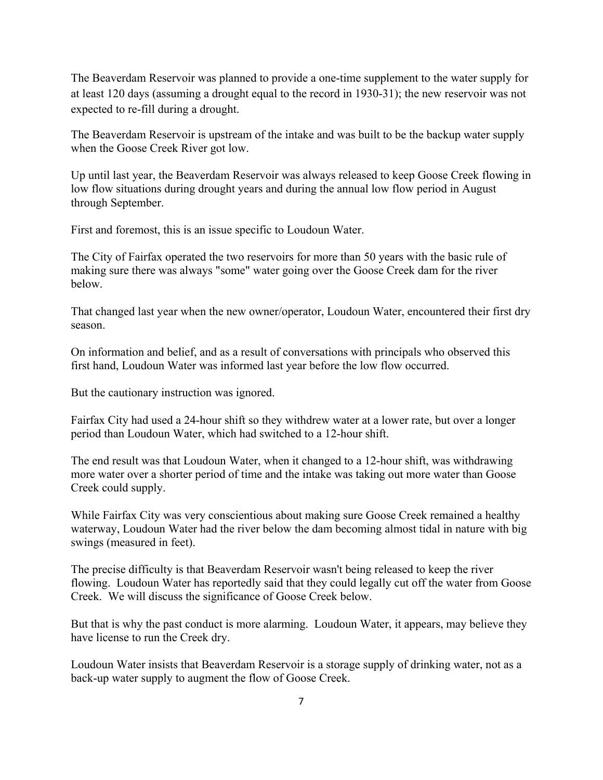The Beaverdam Reservoir was planned to provide a one-time supplement to the water supply for at least 120 days (assuming a drought equal to the record in 1930-31); the new reservoir was not expected to re-fill during a drought.

The Beaverdam Reservoir is upstream of the intake and was built to be the backup water supply when the Goose Creek River got low.

Up until last year, the Beaverdam Reservoir was always released to keep Goose Creek flowing in low flow situations during drought years and during the annual low flow period in August through September.

First and foremost, this is an issue specific to Loudoun Water.

The City of Fairfax operated the two reservoirs for more than 50 years with the basic rule of making sure there was always "some" water going over the Goose Creek dam for the river below.

That changed last year when the new owner/operator, Loudoun Water, encountered their first dry season.

On information and belief, and as a result of conversations with principals who observed this first hand, Loudoun Water was informed last year before the low flow occurred.

But the cautionary instruction was ignored.

Fairfax City had used a 24-hour shift so they withdrew water at a lower rate, but over a longer period than Loudoun Water, which had switched to a 12-hour shift.

The end result was that Loudoun Water, when it changed to a 12-hour shift, was withdrawing more water over a shorter period of time and the intake was taking out more water than Goose Creek could supply.

While Fairfax City was very conscientious about making sure Goose Creek remained a healthy waterway, Loudoun Water had the river below the dam becoming almost tidal in nature with big swings (measured in feet).

The precise difficulty is that Beaverdam Reservoir wasn't being released to keep the river flowing. Loudoun Water has reportedly said that they could legally cut off the water from Goose Creek. We will discuss the significance of Goose Creek below.

But that is why the past conduct is more alarming. Loudoun Water, it appears, may believe they have license to run the Creek dry.

Loudoun Water insists that Beaverdam Reservoir is a storage supply of drinking water, not as a back-up water supply to augment the flow of Goose Creek.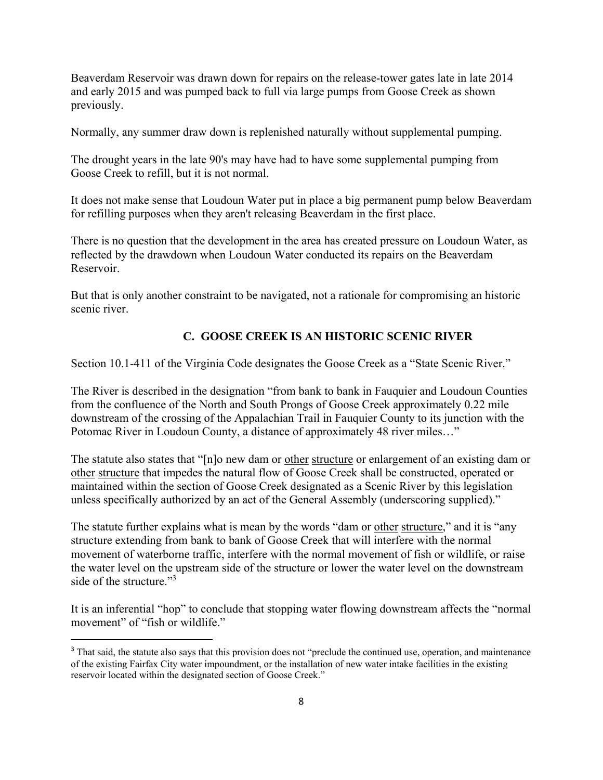Beaverdam Reservoir was drawn down for repairs on the release-tower gates late in late 2014 and early 2015 and was pumped back to full via large pumps from Goose Creek as shown previously.

Normally, any summer draw down is replenished naturally without supplemental pumping.

The drought years in the late 90's may have had to have some supplemental pumping from Goose Creek to refill, but it is not normal.

It does not make sense that Loudoun Water put in place a big permanent pump below Beaverdam for refilling purposes when they aren't releasing Beaverdam in the first place.

There is no question that the development in the area has created pressure on Loudoun Water, as reflected by the drawdown when Loudoun Water conducted its repairs on the Beaverdam Reservoir.

But that is only another constraint to be navigated, not a rationale for compromising an historic scenic river.

#### **C. GOOSE CREEK IS AN HISTORIC SCENIC RIVER**

Section 10.1-411 of the Virginia Code designates the Goose Creek as a "State Scenic River."

The River is described in the designation "from bank to bank in Fauquier and Loudoun Counties from the confluence of the North and South Prongs of Goose Creek approximately 0.22 mile downstream of the crossing of the Appalachian Trail in Fauquier County to its junction with the Potomac River in Loudoun County, a distance of approximately 48 river miles…"

The statute also states that "[n]o new dam or other structure or enlargement of an existing dam or other structure that impedes the natural flow of Goose Creek shall be constructed, operated or maintained within the section of Goose Creek designated as a Scenic River by this legislation unless specifically authorized by an act of the General Assembly (underscoring supplied)."

The statute further explains what is mean by the words "dam or other structure," and it is "any structure extending from bank to bank of Goose Creek that will interfere with the normal movement of waterborne traffic, interfere with the normal movement of fish or wildlife, or raise the water level on the upstream side of the structure or lower the water level on the downstream side of the structure."<sup>3</sup>

It is an inferential "hop" to conclude that stopping water flowing downstream affects the "normal movement" of "fish or wildlife."

<sup>&</sup>lt;sup>3</sup> That said, the statute also says that this provision does not "preclude the continued use, operation, and maintenance of the existing Fairfax City water impoundment, or the installation of new water intake facilities in the existing reservoir located within the designated section of Goose Creek."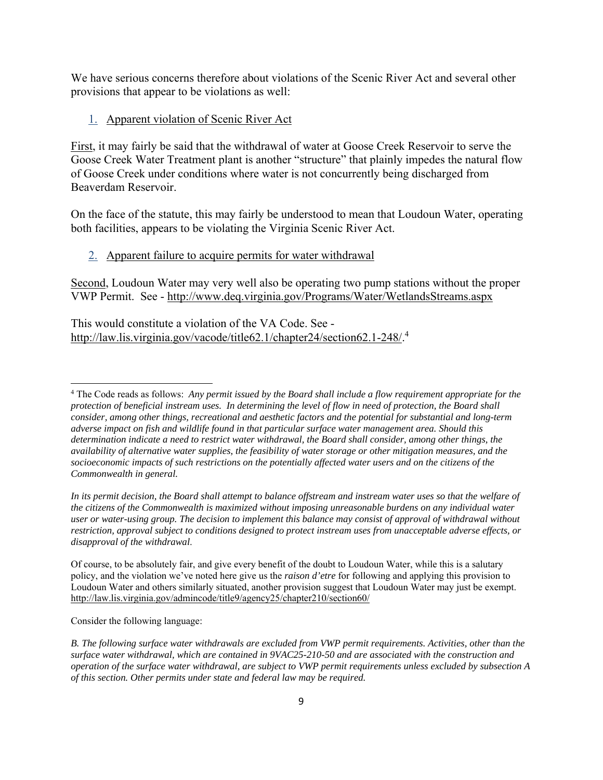We have serious concerns therefore about violations of the Scenic River Act and several other provisions that appear to be violations as well:

#### 1. Apparent violation of Scenic River Act

First, it may fairly be said that the withdrawal of water at Goose Creek Reservoir to serve the Goose Creek Water Treatment plant is another "structure" that plainly impedes the natural flow of Goose Creek under conditions where water is not concurrently being discharged from Beaverdam Reservoir.

On the face of the statute, this may fairly be understood to mean that Loudoun Water, operating both facilities, appears to be violating the Virginia Scenic River Act.

#### 2. Apparent failure to acquire permits for water withdrawal

Second, Loudoun Water may very well also be operating two pump stations without the proper VWP Permit. See - http://www.deq.virginia.gov/Programs/Water/WetlandsStreams.aspx

This would constitute a violation of the VA Code. See http://law.lis.virginia.gov/vacode/title62.1/chapter24/section62.1-248/.<sup>4</sup>

In its permit decision, the Board shall attempt to balance offstream and instream water uses so that the welfare of *the citizens of the Commonwealth is maximized without imposing unreasonable burdens on any individual water user or water-using group. The decision to implement this balance may consist of approval of withdrawal without restriction, approval subject to conditions designed to protect instream uses from unacceptable adverse effects, or disapproval of the withdrawal*.

Of course, to be absolutely fair, and give every benefit of the doubt to Loudoun Water, while this is a salutary policy, and the violation we've noted here give us the *raison d'etre* for following and applying this provision to Loudoun Water and others similarly situated, another provision suggest that Loudoun Water may just be exempt. http://law.lis.virginia.gov/admincode/title9/agency25/chapter210/section60/

Consider the following language:

<sup>4</sup> The Code reads as follows: *Any permit issued by the Board shall include a flow requirement appropriate for the protection of beneficial instream uses. In determining the level of flow in need of protection, the Board shall consider, among other things, recreational and aesthetic factors and the potential for substantial and long-term adverse impact on fish and wildlife found in that particular surface water management area. Should this determination indicate a need to restrict water withdrawal, the Board shall consider, among other things, the availability of alternative water supplies, the feasibility of water storage or other mitigation measures, and the socioeconomic impacts of such restrictions on the potentially affected water users and on the citizens of the Commonwealth in general.* 

*B. The following surface water withdrawals are excluded from VWP permit requirements. Activities, other than the surface water withdrawal, which are contained in 9VAC25-210-50 and are associated with the construction and operation of the surface water withdrawal, are subject to VWP permit requirements unless excluded by subsection A of this section. Other permits under state and federal law may be required.*